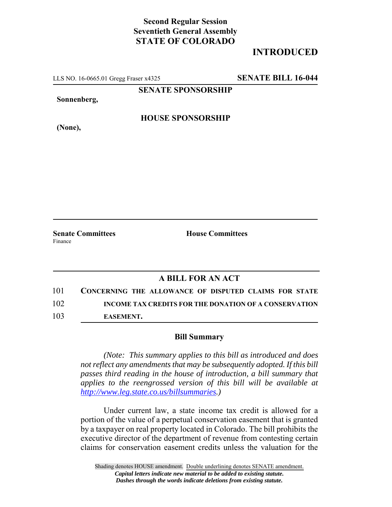## **Second Regular Session Seventieth General Assembly STATE OF COLORADO**

# **INTRODUCED**

LLS NO. 16-0665.01 Gregg Fraser x4325 **SENATE BILL 16-044**

**SENATE SPONSORSHIP**

**Sonnenberg,**

### **HOUSE SPONSORSHIP**

**(None),**

**Senate Committees House Committees** Finance

### **A BILL FOR AN ACT**

101 **CONCERNING THE ALLOWANCE OF DISPUTED CLAIMS FOR STATE** 102 **INCOME TAX CREDITS FOR THE DONATION OF A CONSERVATION** 103 **EASEMENT.**

#### **Bill Summary**

*(Note: This summary applies to this bill as introduced and does not reflect any amendments that may be subsequently adopted. If this bill passes third reading in the house of introduction, a bill summary that applies to the reengrossed version of this bill will be available at http://www.leg.state.co.us/billsummaries.)*

Under current law, a state income tax credit is allowed for a portion of the value of a perpetual conservation easement that is granted by a taxpayer on real property located in Colorado. The bill prohibits the executive director of the department of revenue from contesting certain claims for conservation easement credits unless the valuation for the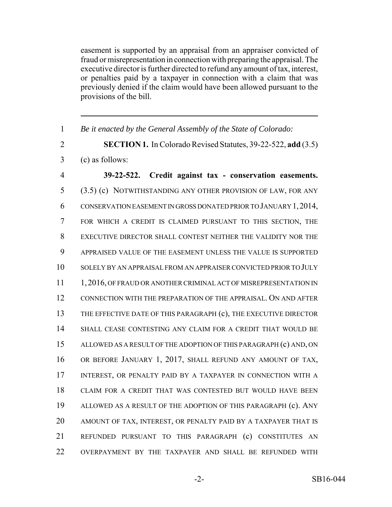easement is supported by an appraisal from an appraiser convicted of fraud or misrepresentation in connection with preparing the appraisal. The executive director is further directed to refund any amount of tax, interest, or penalties paid by a taxpayer in connection with a claim that was previously denied if the claim would have been allowed pursuant to the provisions of the bill.

| $\mathbf{1}$   | Be it enacted by the General Assembly of the State of Colorado:      |
|----------------|----------------------------------------------------------------------|
| $\overline{2}$ | <b>SECTION 1.</b> In Colorado Revised Statutes, 39-22-522, add (3.5) |
| 3              | (c) as follows:                                                      |
| $\overline{4}$ | 39-22-522. Credit against tax - conservation easements.              |
| 5              | (3.5) (c) NOTWITHSTANDING ANY OTHER PROVISION OF LAW, FOR ANY        |
| 6              | CONSERVATION EASEMENT IN GROSS DONATED PRIOR TO JANUARY 1, 2014,     |
| 7              | FOR WHICH A CREDIT IS CLAIMED PURSUANT TO THIS SECTION, THE          |
| 8              | EXECUTIVE DIRECTOR SHALL CONTEST NEITHER THE VALIDITY NOR THE        |
| 9              | APPRAISED VALUE OF THE EASEMENT UNLESS THE VALUE IS SUPPORTED        |
| 10             | SOLELY BY AN APPRAISAL FROM AN APPRAISER CONVICTED PRIOR TO JULY     |
| 11             | 1, 2016, OF FRAUD OR ANOTHER CRIMINAL ACT OF MISREPRESENTATION IN    |
| 12             | CONNECTION WITH THE PREPARATION OF THE APPRAISAL. ON AND AFTER       |
| 13             | THE EFFECTIVE DATE OF THIS PARAGRAPH (c), THE EXECUTIVE DIRECTOR     |
| 14             | SHALL CEASE CONTESTING ANY CLAIM FOR A CREDIT THAT WOULD BE          |
| 15             | ALLOWED AS A RESULT OF THE ADOPTION OF THIS PARAGRAPH (c) AND, ON    |
| 16             | OR BEFORE JANUARY 1, 2017, SHALL REFUND ANY AMOUNT OF TAX,           |
| 17             | INTEREST, OR PENALTY PAID BY A TAXPAYER IN CONNECTION WITH A         |
| 18             | CLAIM FOR A CREDIT THAT WAS CONTESTED BUT WOULD HAVE BEEN            |
| 19             | ALLOWED AS A RESULT OF THE ADOPTION OF THIS PARAGRAPH (c). ANY       |
| 20             | AMOUNT OF TAX, INTEREST, OR PENALTY PAID BY A TAXPAYER THAT IS       |
| 21             | REFUNDED PURSUANT TO THIS PARAGRAPH (c) CONSTITUTES AN               |
| 22             | OVERPAYMENT BY THE TAXPAYER AND SHALL BE REFUNDED WITH               |
|                |                                                                      |